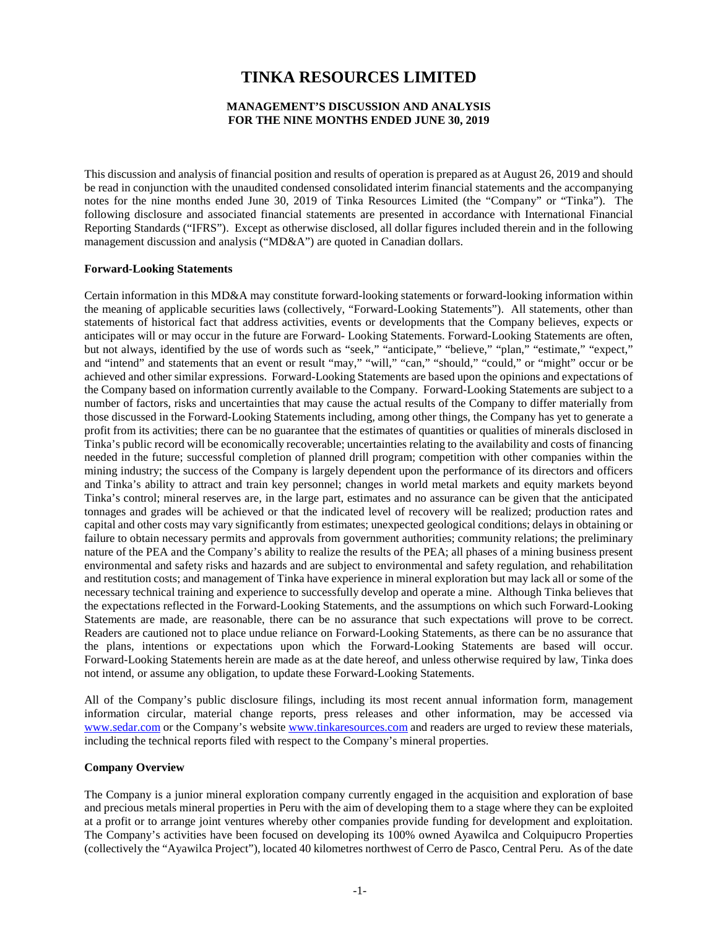# **TINKA RESOURCES LIMITED**

# **MANAGEMENT'S DISCUSSION AND ANALYSIS FOR THE NINE MONTHS ENDED JUNE 30, 2019**

This discussion and analysis of financial position and results of operation is prepared as at August 26, 2019 and should be read in conjunction with the unaudited condensed consolidated interim financial statements and the accompanying notes for the nine months ended June 30, 2019 of Tinka Resources Limited (the "Company" or "Tinka"). The following disclosure and associated financial statements are presented in accordance with International Financial Reporting Standards ("IFRS"). Except as otherwise disclosed, all dollar figures included therein and in the following management discussion and analysis ("MD&A") are quoted in Canadian dollars.

#### **Forward-Looking Statements**

Certain information in this MD&A may constitute forward-looking statements or forward-looking information within the meaning of applicable securities laws (collectively, "Forward-Looking Statements"). All statements, other than statements of historical fact that address activities, events or developments that the Company believes, expects or anticipates will or may occur in the future are Forward- Looking Statements. Forward-Looking Statements are often, but not always, identified by the use of words such as "seek," "anticipate," "believe," "plan," "estimate," "expect," and "intend" and statements that an event or result "may," "will," "can," "should," "could," or "might" occur or be achieved and other similar expressions. Forward-Looking Statements are based upon the opinions and expectations of the Company based on information currently available to the Company. Forward-Looking Statements are subject to a number of factors, risks and uncertainties that may cause the actual results of the Company to differ materially from those discussed in the Forward-Looking Statements including, among other things, the Company has yet to generate a profit from its activities; there can be no guarantee that the estimates of quantities or qualities of minerals disclosed in Tinka's public record will be economically recoverable; uncertainties relating to the availability and costs of financing needed in the future; successful completion of planned drill program; competition with other companies within the mining industry; the success of the Company is largely dependent upon the performance of its directors and officers and Tinka's ability to attract and train key personnel; changes in world metal markets and equity markets beyond Tinka's control; mineral reserves are, in the large part, estimates and no assurance can be given that the anticipated tonnages and grades will be achieved or that the indicated level of recovery will be realized; production rates and capital and other costs may vary significantly from estimates; unexpected geological conditions; delays in obtaining or failure to obtain necessary permits and approvals from government authorities; community relations; the preliminary nature of the PEA and the Company's ability to realize the results of the PEA; all phases of a mining business present environmental and safety risks and hazards and are subject to environmental and safety regulation, and rehabilitation and restitution costs; and management of Tinka have experience in mineral exploration but may lack all or some of the necessary technical training and experience to successfully develop and operate a mine. Although Tinka believes that the expectations reflected in the Forward-Looking Statements, and the assumptions on which such Forward-Looking Statements are made, are reasonable, there can be no assurance that such expectations will prove to be correct. Readers are cautioned not to place undue reliance on Forward-Looking Statements, as there can be no assurance that the plans, intentions or expectations upon which the Forward-Looking Statements are based will occur. Forward-Looking Statements herein are made as at the date hereof, and unless otherwise required by law, Tinka does not intend, or assume any obligation, to update these Forward-Looking Statements.

All of the Company's public disclosure filings, including its most recent annual information form, management information circular, material change reports, press releases and other information, may be accessed via [www.sedar.com](http://www.sedar.com/) or the Company's website [www.tinkaresources.com](http://www.tinkaresources.com/) and readers are urged to review these materials, including the technical reports filed with respect to the Company's mineral properties.

#### **Company Overview**

The Company is a junior mineral exploration company currently engaged in the acquisition and exploration of base and precious metals mineral properties in Peru with the aim of developing them to a stage where they can be exploited at a profit or to arrange joint ventures whereby other companies provide funding for development and exploitation. The Company's activities have been focused on developing its 100% owned Ayawilca and Colquipucro Properties (collectively the "Ayawilca Project"), located 40 kilometres northwest of Cerro de Pasco, Central Peru. As of the date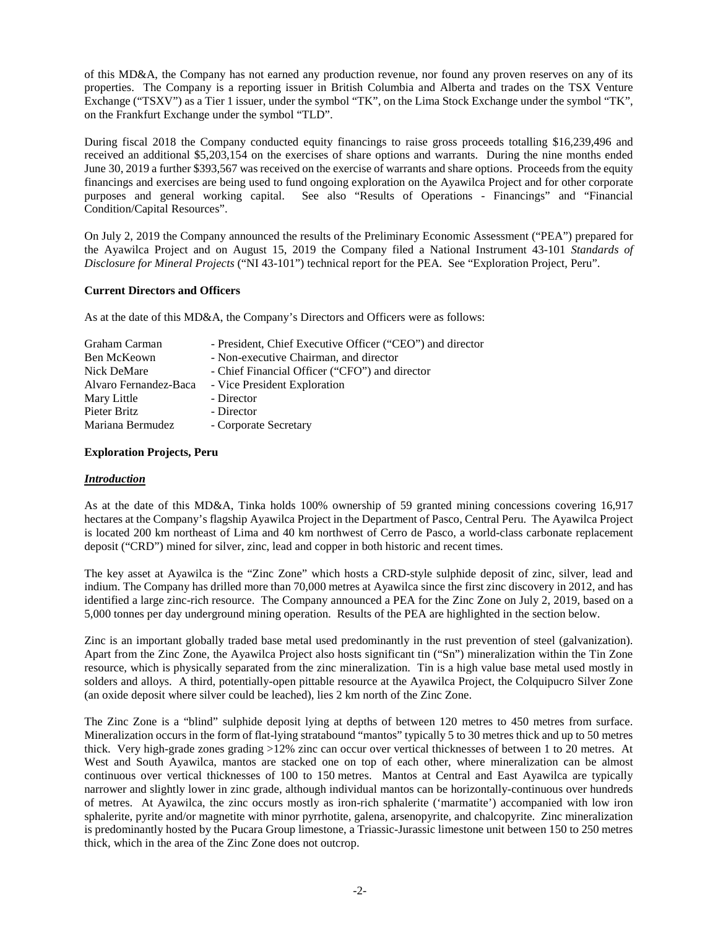of this MD&A, the Company has not earned any production revenue, nor found any proven reserves on any of its properties. The Company is a reporting issuer in British Columbia and Alberta and trades on the TSX Venture Exchange ("TSXV") as a Tier 1 issuer, under the symbol "TK", on the Lima Stock Exchange under the symbol "TK", on the Frankfurt Exchange under the symbol "TLD".

During fiscal 2018 the Company conducted equity financings to raise gross proceeds totalling \$16,239,496 and received an additional \$5,203,154 on the exercises of share options and warrants. During the nine months ended June 30, 2019 a further \$393,567 was received on the exercise of warrants and share options. Proceeds from the equity financings and exercises are being used to fund ongoing exploration on the Ayawilca Project and for other corporate purposes and general working capital. See also "Results of Operations - Financings" and "Financial Condition/Capital Resources".

On July 2, 2019 the Company announced the results of the Preliminary Economic Assessment ("PEA") prepared for the Ayawilca Project and on August 15, 2019 the Company filed a National Instrument 43-101 *Standards of Disclosure for Mineral Projects* ("NI 43-101") technical report for the PEA. See "Exploration Project, Peru".

# **Current Directors and Officers**

As at the date of this MD&A, the Company's Directors and Officers were as follows:

| Graham Carman         | - President, Chief Executive Officer ("CEO") and director |
|-----------------------|-----------------------------------------------------------|
| Ben McKeown           | - Non-executive Chairman, and director                    |
| Nick DeMare           | - Chief Financial Officer ("CFO") and director            |
| Alvaro Fernandez-Baca | - Vice President Exploration                              |
| Mary Little           | - Director                                                |
| Pieter Britz          | - Director                                                |
| Mariana Bermudez      | - Corporate Secretary                                     |

# **Exploration Projects, Peru**

#### *Introduction*

As at the date of this MD&A, Tinka holds 100% ownership of 59 granted mining concessions covering 16,917 hectares at the Company's flagship Ayawilca Project in the Department of Pasco, Central Peru. The Ayawilca Project is located 200 km northeast of Lima and 40 km northwest of Cerro de Pasco, a world-class carbonate replacement deposit ("CRD") mined for silver, zinc, lead and copper in both historic and recent times.

The key asset at Ayawilca is the "Zinc Zone" which hosts a CRD-style sulphide deposit of zinc, silver, lead and indium. The Company has drilled more than 70,000 metres at Ayawilca since the first zinc discovery in 2012, and has identified a large zinc-rich resource. The Company announced a PEA for the Zinc Zone on July 2, 2019, based on a 5,000 tonnes per day underground mining operation. Results of the PEA are highlighted in the section below.

Zinc is an important globally traded base metal used predominantly in the rust prevention of steel (galvanization). Apart from the Zinc Zone, the Ayawilca Project also hosts significant tin ("Sn") mineralization within the Tin Zone resource, which is physically separated from the zinc mineralization. Tin is a high value base metal used mostly in solders and alloys. A third, potentially-open pittable resource at the Ayawilca Project, the Colquipucro Silver Zone (an oxide deposit where silver could be leached), lies 2 km north of the Zinc Zone.

The Zinc Zone is a "blind" sulphide deposit lying at depths of between 120 metres to 450 metres from surface. Mineralization occurs in the form of flat-lying stratabound "mantos" typically 5 to 30 metres thick and up to 50 metres thick. Very high-grade zones grading >12% zinc can occur over vertical thicknesses of between 1 to 20 metres. At West and South Ayawilca, mantos are stacked one on top of each other, where mineralization can be almost continuous over vertical thicknesses of 100 to 150 metres. Mantos at Central and East Ayawilca are typically narrower and slightly lower in zinc grade, although individual mantos can be horizontally-continuous over hundreds of metres. At Ayawilca, the zinc occurs mostly as iron-rich sphalerite ('marmatite') accompanied with low iron sphalerite, pyrite and/or magnetite with minor pyrrhotite, galena, arsenopyrite, and chalcopyrite. Zinc mineralization is predominantly hosted by the Pucara Group limestone, a Triassic-Jurassic limestone unit between 150 to 250 metres thick, which in the area of the Zinc Zone does not outcrop.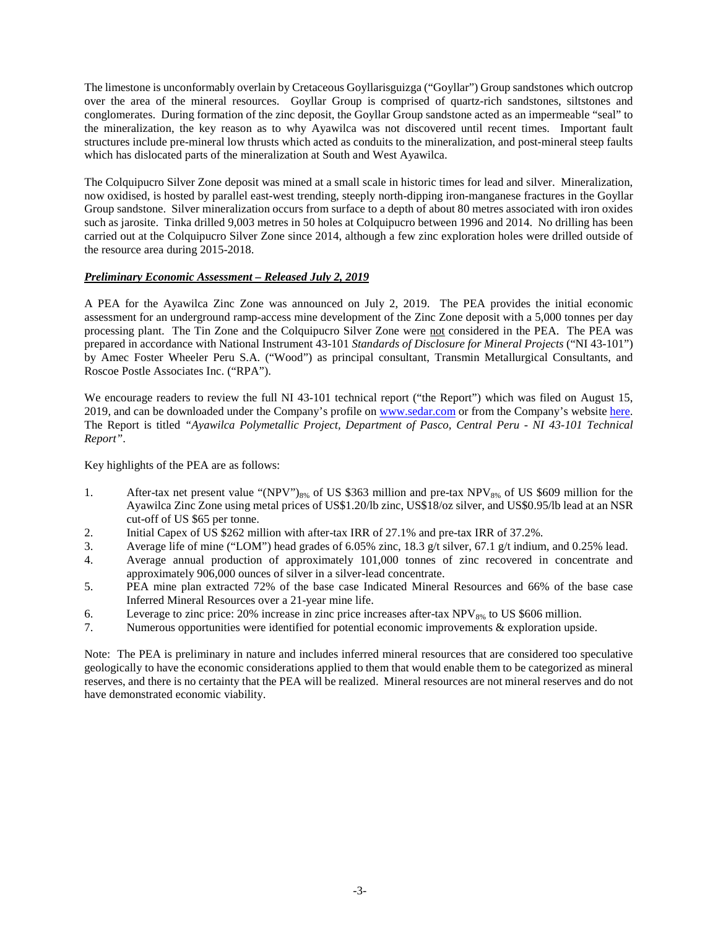The limestone is unconformably overlain by Cretaceous Goyllarisguizga ("Goyllar") Group sandstones which outcrop over the area of the mineral resources. Goyllar Group is comprised of quartz-rich sandstones, siltstones and conglomerates. During formation of the zinc deposit, the Goyllar Group sandstone acted as an impermeable "seal" to the mineralization, the key reason as to why Ayawilca was not discovered until recent times. Important fault structures include pre-mineral low thrusts which acted as conduits to the mineralization, and post-mineral steep faults which has dislocated parts of the mineralization at South and West Ayawilca.

The Colquipucro Silver Zone deposit was mined at a small scale in historic times for lead and silver. Mineralization, now oxidised, is hosted by parallel east-west trending, steeply north-dipping iron-manganese fractures in the Goyllar Group sandstone. Silver mineralization occurs from surface to a depth of about 80 metres associated with iron oxides such as jarosite. Tinka drilled 9,003 metres in 50 holes at Colquipucro between 1996 and 2014. No drilling has been carried out at the Colquipucro Silver Zone since 2014, although a few zinc exploration holes were drilled outside of the resource area during 2015-2018.

# *Preliminary Economic Assessment – Released July 2, 2019*

A PEA for the Ayawilca Zinc Zone was announced on July 2, 2019. The PEA provides the initial economic assessment for an underground ramp-access mine development of the Zinc Zone deposit with a 5,000 tonnes per day processing plant. The Tin Zone and the Colquipucro Silver Zone were not considered in the PEA. The PEA was prepared in accordance with National Instrument 43-101 *Standards of Disclosure for Mineral Projects* ("NI 43-101") by Amec Foster Wheeler Peru S.A. ("Wood") as principal consultant, Transmin Metallurgical Consultants, and Roscoe Postle Associates Inc. ("RPA").

We encourage readers to review the full NI 43-101 technical report ("the Report") which was filed on August 15, 2019, and can be downloaded under the Company's profile on [www.sedar.com](http://www.sedar.com/) or from the Company's website here. The Report is titled *"Ayawilca Polymetallic Project, Department of Pasco, Central Peru - NI 43-101 Technical Report"*.

Key highlights of the PEA are as follows:

- 1. After-tax net present value "(NPV")<sub>8%</sub> of US \$363 million and pre-tax NPV<sub>8%</sub> of US \$609 million for the Ayawilca Zinc Zone using metal prices of US\$1.20/lb zinc, US\$18/oz silver, and US\$0.95/lb lead at an NSR cut-off of US \$65 per tonne.
- 2. Initial Capex of US \$262 million with after-tax IRR of 27.1% and pre-tax IRR of 37.2%.
- 3. Average life of mine ("LOM") head grades of 6.05% zinc, 18.3 g/t silver, 67.1 g/t indium, and 0.25% lead.
- 4. Average annual production of approximately 101,000 tonnes of zinc recovered in concentrate and approximately 906,000 ounces of silver in a silver-lead concentrate.
- 5. PEA mine plan extracted 72% of the base case Indicated Mineral Resources and 66% of the base case Inferred Mineral Resources over a 21-year mine life.
- 6. Leverage to zinc price: 20% increase in zinc price increases after-tax NPV $_{8\%}$  to US \$606 million.<br>7. Numerous opportunities were identified for potential economic improvements & exploration upsi
- 7. Numerous opportunities were identified for potential economic improvements & exploration upside.

Note: The PEA is preliminary in nature and includes inferred mineral resources that are considered too speculative geologically to have the economic considerations applied to them that would enable them to be categorized as mineral reserves, and there is no certainty that the PEA will be realized. Mineral resources are not mineral reserves and do not have demonstrated economic viability.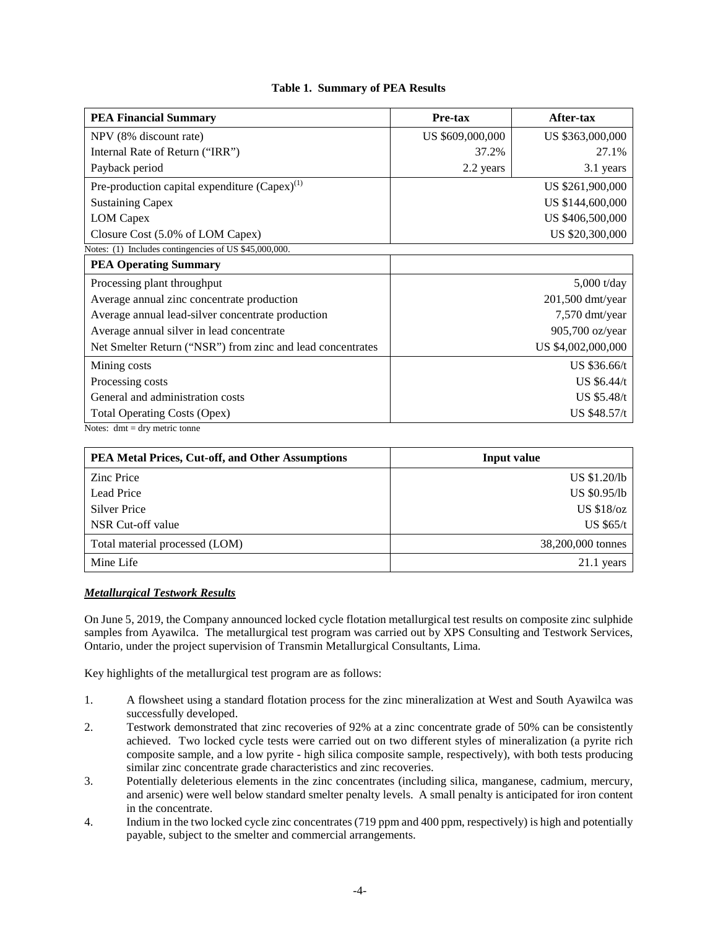# **Table 1. Summary of PEA Results**

| <b>PEA Financial Summary</b>                               | Pre-tax          | After-tax          |
|------------------------------------------------------------|------------------|--------------------|
| NPV (8% discount rate)                                     | US \$609,000,000 | US \$363,000,000   |
| Internal Rate of Return ("IRR")                            | 37.2%            | 27.1%              |
| Payback period                                             | 2.2 years        | 3.1 years          |
| Pre-production capital expenditure $(Capex)^{(1)}$         |                  | US \$261,900,000   |
| <b>Sustaining Capex</b>                                    |                  | US \$144,600,000   |
| <b>LOM</b> Capex                                           |                  | US \$406,500,000   |
| Closure Cost (5.0% of LOM Capex)                           |                  | US \$20,300,000    |
| Notes: (1) Includes contingencies of US \$45,000,000.      |                  |                    |
| <b>PEA Operating Summary</b>                               |                  |                    |
| Processing plant throughput                                |                  | $5,000$ t/day      |
| Average annual zinc concentrate production                 |                  | 201,500 dmt/year   |
| Average annual lead-silver concentrate production          |                  | $7,570$ dmt/year   |
| Average annual silver in lead concentrate                  |                  | 905,700 oz/year    |
| Net Smelter Return ("NSR") from zinc and lead concentrates |                  | US \$4,002,000,000 |
| Mining costs                                               |                  | US \$36.66/t       |
| Processing costs                                           |                  | US $$6.44/t$       |
| General and administration costs                           |                  | US $$5.48/t$       |
| Total Operating Costs (Opex)                               |                  | US \$48.57/t       |

Notes:  $dmt = dry$  metric tonne

| <b>PEA Metal Prices, Cut-off, and Other Assumptions</b> | Input value         |
|---------------------------------------------------------|---------------------|
| Zinc Price                                              | US \$1.20/lb        |
| Lead Price                                              | <b>US \$0.95/lb</b> |
| <b>Silver Price</b>                                     | <b>US \$18/oz</b>   |
| NSR Cut-off value                                       | <b>US \$65/t</b>    |
| Total material processed (LOM)                          | 38,200,000 tonnes   |
| Mine Life                                               | 21.1 years          |

# *Metallurgical Testwork Results*

On June 5, 2019, the Company announced locked cycle flotation metallurgical test results on composite zinc sulphide samples from Ayawilca. The metallurgical test program was carried out by XPS Consulting and Testwork Services, Ontario, under the project supervision of Transmin Metallurgical Consultants, Lima.

Key highlights of the metallurgical test program are as follows:

- 1. A flowsheet using a standard flotation process for the zinc mineralization at West and South Ayawilca was successfully developed.
- 2. Testwork demonstrated that zinc recoveries of 92% at a zinc concentrate grade of 50% can be consistently achieved. Two locked cycle tests were carried out on two different styles of mineralization (a pyrite rich composite sample, and a low pyrite - high silica composite sample, respectively), with both tests producing similar zinc concentrate grade characteristics and zinc recoveries.
- 3. Potentially deleterious elements in the zinc concentrates (including silica, manganese, cadmium, mercury, and arsenic) were well below standard smelter penalty levels. A small penalty is anticipated for iron content in the concentrate.
- 4. Indium in the two locked cycle zinc concentrates (719 ppm and 400 ppm, respectively) is high and potentially payable, subject to the smelter and commercial arrangements.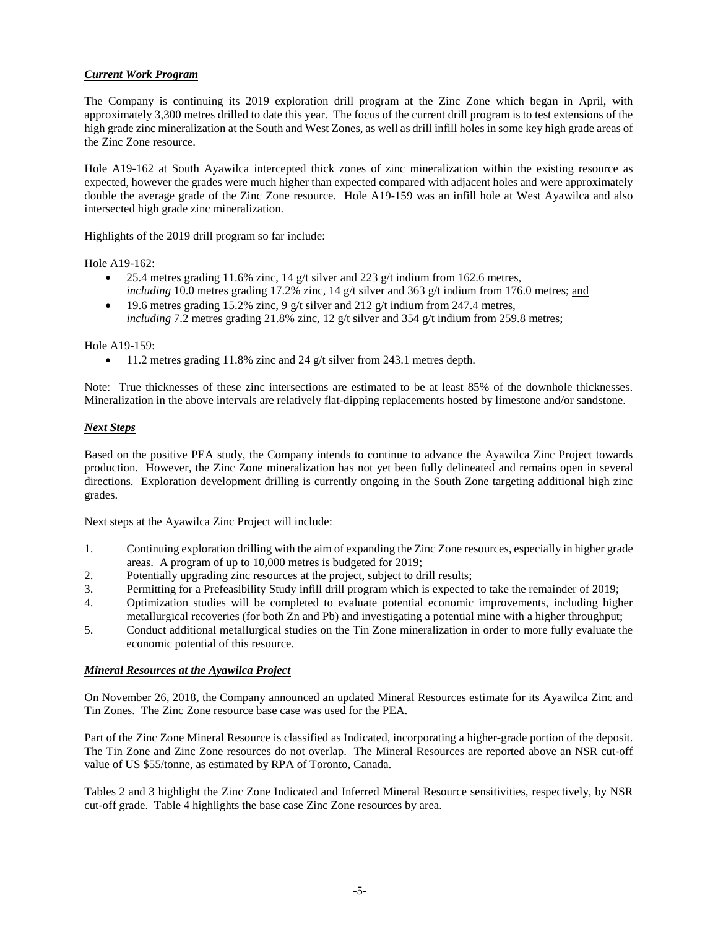# *Current Work Program*

The Company is continuing its 2019 exploration drill program at the Zinc Zone which began in April, with approximately 3,300 metres drilled to date this year. The focus of the current drill program is to test extensions of the high grade zinc mineralization at the South and West Zones, as well as drill infill holes in some key high grade areas of the Zinc Zone resource.

Hole A19-162 at South Ayawilca intercepted thick zones of zinc mineralization within the existing resource as expected, however the grades were much higher than expected compared with adjacent holes and were approximately double the average grade of the Zinc Zone resource. Hole A19-159 was an infill hole at West Ayawilca and also intersected high grade zinc mineralization.

Highlights of the 2019 drill program so far include:

Hole A19-162:

- 25.4 metres grading 11.6% zinc, 14 g/t silver and 223 g/t indium from 162.6 metres, *including* 10.0 metres grading 17.2% zinc, 14 g/t silver and 363 g/t indium from 176.0 metres; and
- 19.6 metres grading 15.2% zinc, 9 g/t silver and 212 g/t indium from 247.4 metres, *including* 7.2 metres grading 21.8% zinc, 12 g/t silver and 354 g/t indium from 259.8 metres;

# Hole A19-159:

• 11.2 metres grading 11.8% zinc and 24 g/t silver from 243.1 metres depth.

Note: True thicknesses of these zinc intersections are estimated to be at least 85% of the downhole thicknesses. Mineralization in the above intervals are relatively flat-dipping replacements hosted by limestone and/or sandstone.

# *Next Steps*

Based on the positive PEA study, the Company intends to continue to advance the Ayawilca Zinc Project towards production. However, the Zinc Zone mineralization has not yet been fully delineated and remains open in several directions. Exploration development drilling is currently ongoing in the South Zone targeting additional high zinc grades.

Next steps at the Ayawilca Zinc Project will include:

- 1. Continuing exploration drilling with the aim of expanding the Zinc Zone resources, especially in higher grade areas. A program of up to 10,000 metres is budgeted for 2019;
- 2. Potentially upgrading zinc resources at the project, subject to drill results;
- 3. Permitting for a Prefeasibility Study infill drill program which is expected to take the remainder of 2019;
- 4. Optimization studies will be completed to evaluate potential economic improvements, including higher metallurgical recoveries (for both Zn and Pb) and investigating a potential mine with a higher throughput;
- 5. Conduct additional metallurgical studies on the Tin Zone mineralization in order to more fully evaluate the economic potential of this resource.

# *Mineral Resources at the Ayawilca Project*

On November 26, 2018, the Company announced an updated Mineral Resources estimate for its Ayawilca Zinc and Tin Zones. The Zinc Zone resource base case was used for the PEA.

Part of the Zinc Zone Mineral Resource is classified as Indicated, incorporating a higher-grade portion of the deposit. The Tin Zone and Zinc Zone resources do not overlap. The Mineral Resources are reported above an NSR cut-off value of US \$55/tonne, as estimated by RPA of Toronto, Canada.

Tables 2 and 3 highlight the Zinc Zone Indicated and Inferred Mineral Resource sensitivities, respectively, by NSR cut-off grade. Table 4 highlights the base case Zinc Zone resources by area.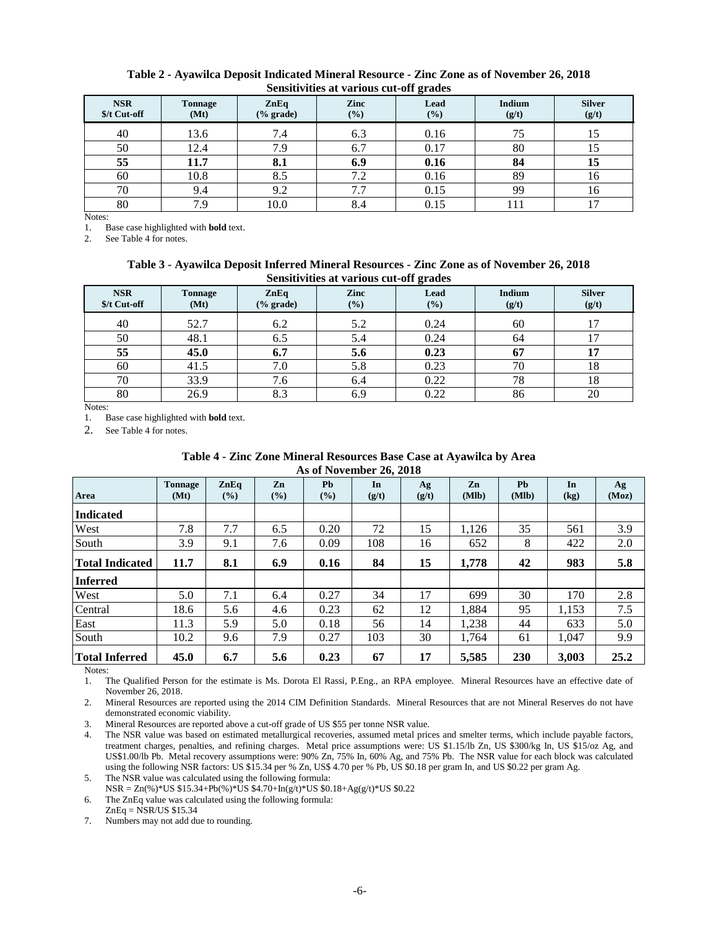| $\alpha$                   |                        |                    |             |                |                 |                        |  |  |
|----------------------------|------------------------|--------------------|-------------|----------------|-----------------|------------------------|--|--|
| <b>NSR</b><br>\$/t Cut-off | <b>Tonnage</b><br>(Mt) | ZnEq<br>$%$ grade) | Zinc<br>(%) | Lead<br>$(\%)$ | Indium<br>(g/t) | <b>Silver</b><br>(g/t) |  |  |
| 40                         | 13.6                   | 7.4                | 6.3         | 0.16           | 75              | 15                     |  |  |
| 50                         | 12.4                   | 7.9                | 6.7         | 0.17           | 80              |                        |  |  |
| 55                         | 11.7                   | 8.1                | 6.9         | 0.16           | 84              | 15                     |  |  |
| 60                         | 10.8                   | 8.5                | 7.2         | 0.16           | 89              | 16                     |  |  |
| 70                         | 9.4                    | 9.2                | 7.7         | 0.15           | 99              | 16                     |  |  |
| 80                         | 7.9                    | 10.0               | 8.4         | 0.15           | 111             |                        |  |  |

#### **Table 2 - Ayawilca Deposit Indicated Mineral Resource - Zinc Zone as of November 26, 2018 Sensitivities at various cut-off grades**

Notes:

1. Base case highlighted with **bold** text.<br>2. See Table 4 for notes.

See Table 4 for notes.

# **Table 3 - Ayawilca Deposit Inferred Mineral Resources - Zinc Zone as of November 26, 2018 Sensitivities at various cut-off grades**

| <b>NSR</b><br>\$/t Cut-off | <b>Tonnage</b><br>(Mt) | ZnEq<br>$(\%$ grade) | Zinc<br>(%) | $\overline{\phantom{0}}$<br>Lead<br>$($ %) | <b>Indium</b><br>(g/t) | <b>Silver</b><br>(g/t) |
|----------------------------|------------------------|----------------------|-------------|--------------------------------------------|------------------------|------------------------|
| 40                         | 52.7                   | 6.2                  | 5.2         | 0.24                                       | 60                     |                        |
| 50                         | 48.1                   | 6.5                  | 5.4         | 0.24                                       | 64                     |                        |
| 55                         | 45.0                   | 6.7                  | 5.6         | 0.23                                       | 67                     |                        |
| 60                         | 41.5                   | 7.0                  | 5.8         | 0.23                                       | 70                     | 18                     |
| 70                         | 33.9                   | 7.6                  | 6.4         | 0.22                                       | 78                     | 18                     |
| 80                         | 26.9                   | 8.3                  | 6.9         | 0.22                                       | 86                     | 20                     |

Notes:

1. Base case highlighted with **bold** text.

2. See Table 4 for notes.

| Table 4 - Zinc Zone Mineral Resources Base Case at Ayawilca by Area |
|---------------------------------------------------------------------|
| As of November 26, 2018                                             |

| 1100111010110012012010 |                        |                |           |           |             |             |             |                    |            |             |
|------------------------|------------------------|----------------|-----------|-----------|-------------|-------------|-------------|--------------------|------------|-------------|
| Area                   | <b>Tonnage</b><br>(Mt) | ZnEq<br>$(\%)$ | Zn<br>(%) | Ph<br>(%) | In<br>(g/t) | Ag<br>(g/t) | Zn<br>(Mlb) | <b>Ph</b><br>(Mlb) | In<br>(kg) | Ag<br>(Moz) |
| <b>Indicated</b>       |                        |                |           |           |             |             |             |                    |            |             |
| West                   | 7.8                    | 7.7            | 6.5       | 0.20      | 72          | 15          | 1.126       | 35                 | 561        | 3.9         |
| South                  | 3.9                    | 9.1            | 7.6       | 0.09      | 108         | 16          | 652         | 8                  | 422        | 2.0         |
| <b>Total Indicated</b> | 11.7                   | 8.1            | 6.9       | 0.16      | 84          | 15          | 1,778       | 42                 | 983        | 5.8         |
| <b>Inferred</b>        |                        |                |           |           |             |             |             |                    |            |             |
| West                   | 5.0                    | 7.1            | 6.4       | 0.27      | 34          | 17          | 699         | 30                 | 170        | 2.8         |
| Central                | 18.6                   | 5.6            | 4.6       | 0.23      | 62          | 12          | 1.884       | 95                 | 1,153      | 7.5         |
| East                   | 11.3                   | 5.9            | 5.0       | 0.18      | 56          | 14          | 1,238       | 44                 | 633        | 5.0         |
| South                  | 10.2                   | 9.6            | 7.9       | 0.27      | 103         | 30          | 1.764       | 61                 | 1.047      | 9.9         |
| <b>Total Inferred</b>  | 45.0                   | 6.7            | 5.6       | 0.23      | 67          | 17          | 5,585       | 230                | 3.003      | 25.2        |

Notes:

1. The Qualified Person for the estimate is Ms. Dorota El Rassi, P.Eng., an RPA employee. Mineral Resources have an effective date of November 26, 2018.

2. Mineral Resources are reported using the 2014 CIM Definition Standards. Mineral Resources that are not Mineral Reserves do not have demonstrated economic viability.

3. Mineral Resources are reported above a cut-off grade of US \$55 per tonne NSR value.

4. The NSR value was based on estimated metallurgical recoveries, assumed metal prices and smelter terms, which include payable factors, treatment charges, penalties, and refining charges. Metal price assumptions were: US \$1.15/lb Zn, US \$300/kg In, US \$15/oz Ag, and US\$1.00/lb Pb. Metal recovery assumptions were: 90% Zn, 75% In, 60% Ag, and 75% Pb. The NSR value for each block was calculated using the following NSR factors: US \$15.34 per % Zn, US\$ 4.70 per % Pb, US \$0.18 per gram In, and US \$0.22 per gram Ag.

5. The NSR value was calculated using the following formula:  $NSR = Zn(\%)^*US \$15.34 + Pb(\%)^*US \$4.70 + In(g/t)*US \$0.18 + Ag(g/t)*US \$0.22$ 

6. The ZnEq value was calculated using the following formula:

ZnEq = NSR/US \$15.34

7. Numbers may not add due to rounding.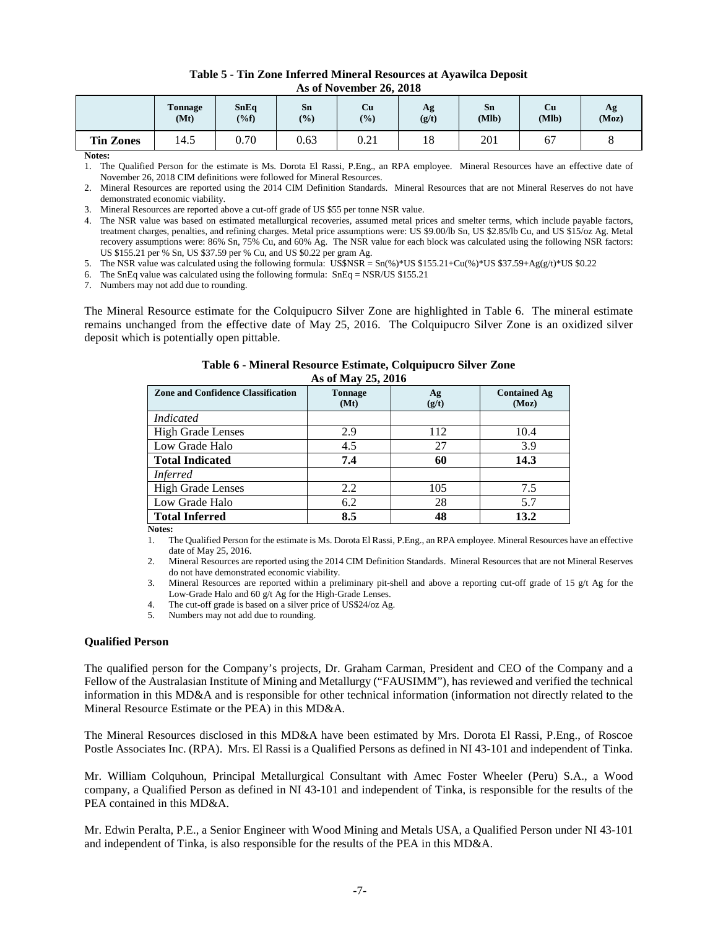|  |  | Table 5 - Tin Zone Inferred Mineral Resources at Ayawilca Deposit |  |  |
|--|--|-------------------------------------------------------------------|--|--|
|  |  | As of November 26, 2018                                           |  |  |

|                  | <b>Tonnage</b> | <b>SnEq</b> | Sn     | Сu   | Аg            | Sn    | Cu    | Ag    |
|------------------|----------------|-------------|--------|------|---------------|-------|-------|-------|
|                  | (Mt)           | $(\%f)$     | $(\%)$ | (%)  | (g/t)         | (Mlb) | (Mlb) | (Moz) |
| <b>Tin Zones</b> | 14.5           | 0.70        | 0.63   | 0.21 | $\circ$<br>10 | 201   | 67    |       |

**Notes:**

1. The Qualified Person for the estimate is Ms. Dorota El Rassi, P.Eng., an RPA employee. Mineral Resources have an effective date of November 26, 2018 CIM definitions were followed for Mineral Resources.

2. Mineral Resources are reported using the 2014 CIM Definition Standards. Mineral Resources that are not Mineral Reserves do not have demonstrated economic viability.

3. Mineral Resources are reported above a cut-off grade of US \$55 per tonne NSR value.

4. The NSR value was based on estimated metallurgical recoveries, assumed metal prices and smelter terms, which include payable factors, treatment charges, penalties, and refining charges. Metal price assumptions were: US \$9.00/lb Sn, US \$2.85/lb Cu, and US \$15/oz Ag. Metal recovery assumptions were: 86% Sn, 75% Cu, and 60% Ag. The NSR value for each block was calculated using the following NSR factors: US \$155.21 per % Sn, US \$37.59 per % Cu, and US \$0.22 per gram Ag.

5. The NSR value was calculated using the following formula: US\$NSR = Sn(%)\*US \$155.21+Cu(%)\*US \$37.59+Ag(g/t)\*US \$0.22

6. The SnEq value was calculated using the following formula: SnEq = NSR/US \$155.21

7. Numbers may not add due to rounding.

The Mineral Resource estimate for the Colquipucro Silver Zone are highlighted in Table 6. The mineral estimate remains unchanged from the effective date of May 25, 2016. The Colquipucro Silver Zone is an oxidized silver deposit which is potentially open pittable.

| As of May 25, 2016                        |                        |             |                              |  |  |  |  |  |  |
|-------------------------------------------|------------------------|-------------|------------------------------|--|--|--|--|--|--|
| <b>Zone and Confidence Classification</b> | <b>Tonnage</b><br>(Mt) | Ag<br>(g/t) | <b>Contained Ag</b><br>(Moz) |  |  |  |  |  |  |
| <i>Indicated</i>                          |                        |             |                              |  |  |  |  |  |  |
| <b>High Grade Lenses</b>                  | 2.9                    | 112         | 10.4                         |  |  |  |  |  |  |
| Low Grade Halo                            | 4.5                    | 27          | 3.9                          |  |  |  |  |  |  |
| <b>Total Indicated</b>                    | 7.4                    | 60          | 14.3                         |  |  |  |  |  |  |
| <i>Inferred</i>                           |                        |             |                              |  |  |  |  |  |  |
| <b>High Grade Lenses</b>                  | 2.2                    | 105         | 7.5                          |  |  |  |  |  |  |
| Low Grade Halo                            | 6.2                    | 28          | 5.7                          |  |  |  |  |  |  |
| <b>Total Inferred</b>                     | 8.5                    | 48          | 13.2                         |  |  |  |  |  |  |

# **Table 6 - Mineral Resource Estimate, Colquipucro Silver Zone**

Notes:<br>1<br>
<sup>1</sup> 1. The Qualified Person for the estimate is Ms. Dorota El Rassi, P.Eng., an RPA employee. Mineral Resources have an effective date of May 25, 2016.

2. Mineral Resources are reported using the 2014 CIM Definition Standards. Mineral Resources that are not Mineral Reserves do not have demonstrated economic viability.

3. Mineral Resources are reported within a preliminary pit-shell and above a reporting cut-off grade of 15 g/t Ag for the Low-Grade Halo and 60 g/t Ag for the High-Grade Lenses.

4. The cut-off grade is based on a silver price of US\$24/oz Ag.

5. Numbers may not add due to rounding.

#### **Qualified Person**

The qualified person for the Company's projects, Dr. Graham Carman, President and CEO of the Company and a Fellow of the Australasian Institute of Mining and Metallurgy ("FAUSIMM"), has reviewed and verified the technical information in this MD&A and is responsible for other technical information (information not directly related to the Mineral Resource Estimate or the PEA) in this MD&A.

The Mineral Resources disclosed in this MD&A have been estimated by Mrs. Dorota El Rassi, P.Eng., of Roscoe Postle Associates Inc. (RPA). Mrs. El Rassi is a Qualified Persons as defined in NI 43-101 and independent of Tinka.

Mr. William Colquhoun, Principal Metallurgical Consultant with Amec Foster Wheeler (Peru) S.A., a Wood company, a Qualified Person as defined in NI 43-101 and independent of Tinka, is responsible for the results of the PEA contained in this MD&A.

Mr. Edwin Peralta, P.E., a Senior Engineer with Wood Mining and Metals USA, a Qualified Person under NI 43-101 and independent of Tinka, is also responsible for the results of the PEA in this MD&A.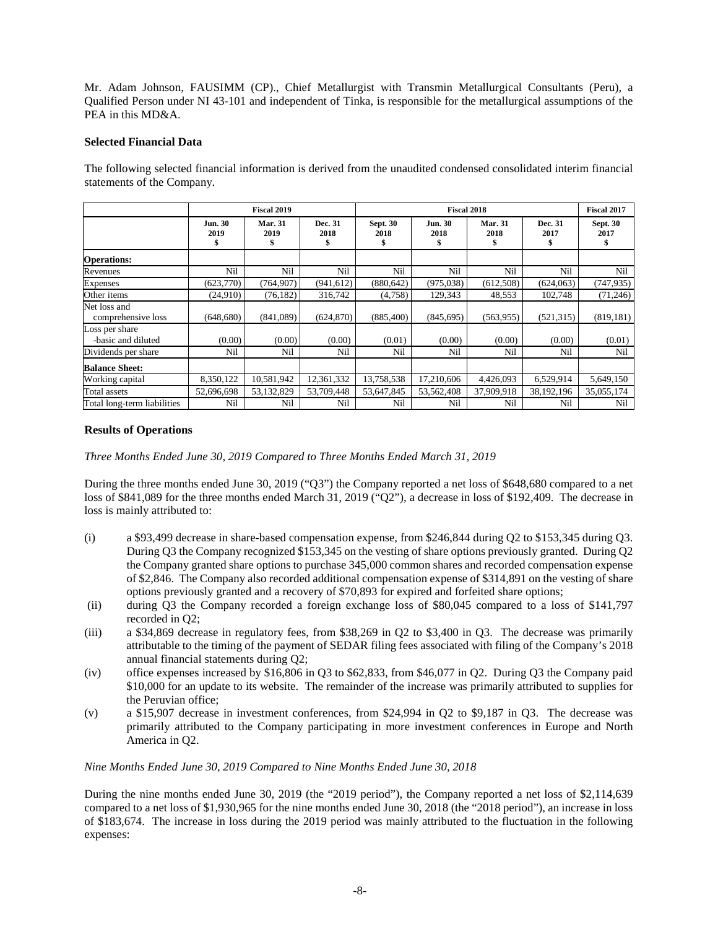Mr. Adam Johnson, FAUSIMM (CP)., Chief Metallurgist with Transmin Metallurgical Consultants (Peru), a Qualified Person under NI 43-101 and independent of Tinka, is responsible for the metallurgical assumptions of the PEA in this MD&A.

# **Selected Financial Data**

The following selected financial information is derived from the unaudited condensed consolidated interim financial statements of the Company.

|                                      |                              | Fiscal 2019            |                 |                         | Fiscal 2017                  |                        |                 |                         |
|--------------------------------------|------------------------------|------------------------|-----------------|-------------------------|------------------------------|------------------------|-----------------|-------------------------|
|                                      | <b>Jun. 30</b><br>2019<br>\$ | <b>Mar. 31</b><br>2019 | Dec. 31<br>2018 | <b>Sept. 30</b><br>2018 | <b>Jun. 30</b><br>2018<br>\$ | <b>Mar. 31</b><br>2018 | Dec. 31<br>2017 | <b>Sept. 30</b><br>2017 |
| <b>Operations:</b>                   |                              |                        |                 |                         |                              |                        |                 |                         |
| Revenues                             | Nil                          | Nil                    | Nil             | Nil                     | Nil                          | Nil                    | Nil             | Nil                     |
| <b>Expenses</b>                      | (623,770)                    | (764, 907)             | (941, 612)      | (880, 642)              | (975, 038)                   | (612,508)              | (624,063)       | (747, 935)              |
| Other items                          | (24,910)                     | (76, 182)              | 316,742         | (4,758)                 | 129,343                      | 48,553                 | 102.748         | (71,246)                |
| Net loss and<br>comprehensive loss   | (648.680)                    | (841.089)              | (624, 870)      | (885,400)               | (845, 695)                   | (563, 955)             | (521, 315)      | (819, 181)              |
| Loss per share<br>-basic and diluted | (0.00)                       | (0.00)                 | (0.00)          | (0.01)                  | (0.00)                       | (0.00)                 | (0.00)          | (0.01)                  |
| Dividends per share                  | Nil                          | Nil                    | Nil             | Nil                     | Nil                          | Nil                    | Nil             | Nil                     |
| <b>Balance Sheet:</b>                |                              |                        |                 |                         |                              |                        |                 |                         |
| Working capital                      | 8,350,122                    | 10,581,942             | 12,361,332      | 13,758,538              | 17,210,606                   | 4,426,093              | 6,529,914       | 5,649,150               |
| Total assets                         | 52,696,698                   | 53,132,829             | 53,709,448      | 53,647,845              | 53,562,408                   | 37,909,918             | 38,192,196      | 35,055,174              |
| Total long-term liabilities          | Nil                          | Nil                    | Nil             | Nil                     | Nil                          | Nil                    | Nil             | Nil                     |

# **Results of Operations**

*Three Months Ended June 30, 2019 Compared to Three Months Ended March 31, 2019*

During the three months ended June 30, 2019 ("Q3") the Company reported a net loss of \$648,680 compared to a net loss of \$841,089 for the three months ended March 31, 2019 ("Q2"), a decrease in loss of \$192,409. The decrease in loss is mainly attributed to:

- (i) a \$93,499 decrease in share-based compensation expense, from \$246,844 during Q2 to \$153,345 during Q3. During Q3 the Company recognized \$153,345 on the vesting of share options previously granted. During Q2 the Company granted share options to purchase 345,000 common shares and recorded compensation expense of \$2,846. The Company also recorded additional compensation expense of \$314,891 on the vesting of share options previously granted and a recovery of \$70,893 for expired and forfeited share options;
- (ii) during Q3 the Company recorded a foreign exchange loss of \$80,045 compared to a loss of \$141,797 recorded in Q2;
- (iii) a \$34,869 decrease in regulatory fees, from \$38,269 in Q2 to \$3,400 in Q3. The decrease was primarily attributable to the timing of the payment of SEDAR filing fees associated with filing of the Company's 2018 annual financial statements during Q2;
- (iv) office expenses increased by \$16,806 in Q3 to \$62,833, from \$46,077 in Q2. During Q3 the Company paid \$10,000 for an update to its website. The remainder of the increase was primarily attributed to supplies for the Peruvian office;
- (v) a \$15,907 decrease in investment conferences, from \$24,994 in Q2 to \$9,187 in Q3. The decrease was primarily attributed to the Company participating in more investment conferences in Europe and North America in Q2.

#### *Nine Months Ended June 30, 2019 Compared to Nine Months Ended June 30, 2018*

During the nine months ended June 30, 2019 (the "2019 period"), the Company reported a net loss of \$2,114,639 compared to a net loss of \$1,930,965 for the nine months ended June 30, 2018 (the "2018 period"), an increase in loss of \$183,674. The increase in loss during the 2019 period was mainly attributed to the fluctuation in the following expenses: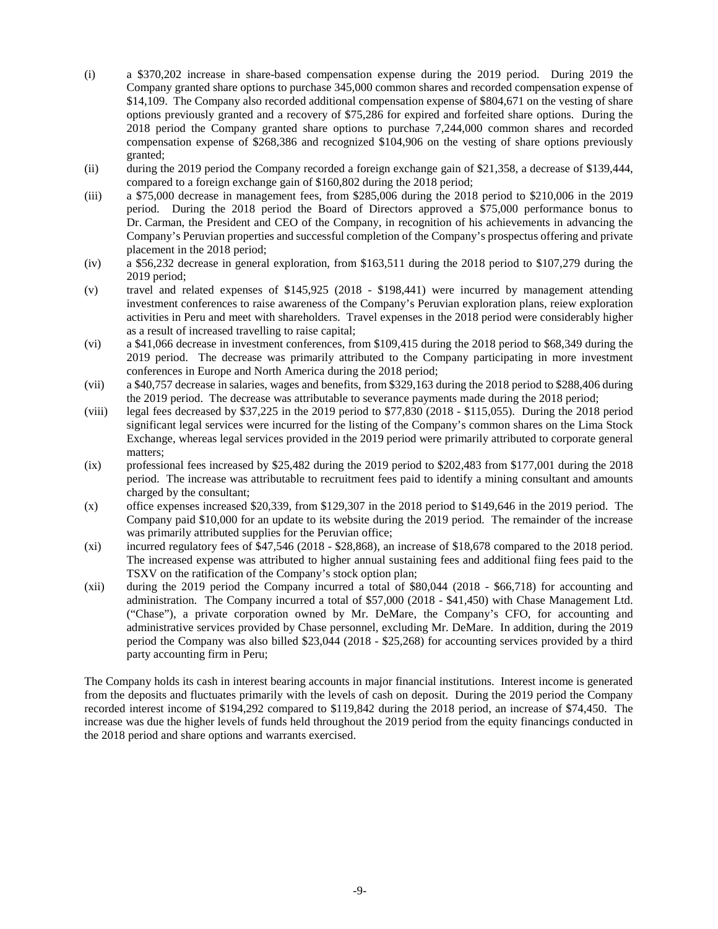- (i) a \$370,202 increase in share-based compensation expense during the 2019 period. During 2019 the Company granted share options to purchase 345,000 common shares and recorded compensation expense of \$14,109. The Company also recorded additional compensation expense of \$804,671 on the vesting of share options previously granted and a recovery of \$75,286 for expired and forfeited share options. During the 2018 period the Company granted share options to purchase 7,244,000 common shares and recorded compensation expense of \$268,386 and recognized \$104,906 on the vesting of share options previously granted;
- (ii) during the 2019 period the Company recorded a foreign exchange gain of \$21,358, a decrease of \$139,444, compared to a foreign exchange gain of \$160,802 during the 2018 period;
- (iii) a \$75,000 decrease in management fees, from \$285,006 during the 2018 period to \$210,006 in the 2019 period. During the 2018 period the Board of Directors approved a \$75,000 performance bonus to Dr. Carman, the President and CEO of the Company, in recognition of his achievements in advancing the Company's Peruvian properties and successful completion of the Company's prospectus offering and private placement in the 2018 period;
- (iv) a \$56,232 decrease in general exploration, from \$163,511 during the 2018 period to \$107,279 during the 2019 period;
- (v) travel and related expenses of \$145,925 (2018 \$198,441) were incurred by management attending investment conferences to raise awareness of the Company's Peruvian exploration plans, reiew exploration activities in Peru and meet with shareholders. Travel expenses in the 2018 period were considerably higher as a result of increased travelling to raise capital;
- (vi) a \$41,066 decrease in investment conferences, from \$109,415 during the 2018 period to \$68,349 during the 2019 period. The decrease was primarily attributed to the Company participating in more investment conferences in Europe and North America during the 2018 period;
- (vii) a \$40,757 decrease in salaries, wages and benefits, from \$329,163 during the 2018 period to \$288,406 during the 2019 period. The decrease was attributable to severance payments made during the 2018 period;
- (viii) legal fees decreased by \$37,225 in the 2019 period to \$77,830 (2018 \$115,055). During the 2018 period significant legal services were incurred for the listing of the Company's common shares on the Lima Stock Exchange, whereas legal services provided in the 2019 period were primarily attributed to corporate general matters;
- (ix) professional fees increased by \$25,482 during the 2019 period to \$202,483 from \$177,001 during the 2018 period. The increase was attributable to recruitment fees paid to identify a mining consultant and amounts charged by the consultant;
- (x) office expenses increased \$20,339, from \$129,307 in the 2018 period to \$149,646 in the 2019 period. The Company paid \$10,000 for an update to its website during the 2019 period. The remainder of the increase was primarily attributed supplies for the Peruvian office;
- (xi) incurred regulatory fees of \$47,546 (2018 \$28,868), an increase of \$18,678 compared to the 2018 period. The increased expense was attributed to higher annual sustaining fees and additional fiing fees paid to the TSXV on the ratification of the Company's stock option plan;
- (xii) during the 2019 period the Company incurred a total of \$80,044 (2018 \$66,718) for accounting and administration. The Company incurred a total of \$57,000 (2018 - \$41,450) with Chase Management Ltd. ("Chase"), a private corporation owned by Mr. DeMare, the Company's CFO, for accounting and administrative services provided by Chase personnel, excluding Mr. DeMare. In addition, during the 2019 period the Company was also billed \$23,044 (2018 - \$25,268) for accounting services provided by a third party accounting firm in Peru;

The Company holds its cash in interest bearing accounts in major financial institutions. Interest income is generated from the deposits and fluctuates primarily with the levels of cash on deposit. During the 2019 period the Company recorded interest income of \$194,292 compared to \$119,842 during the 2018 period, an increase of \$74,450. The increase was due the higher levels of funds held throughout the 2019 period from the equity financings conducted in the 2018 period and share options and warrants exercised.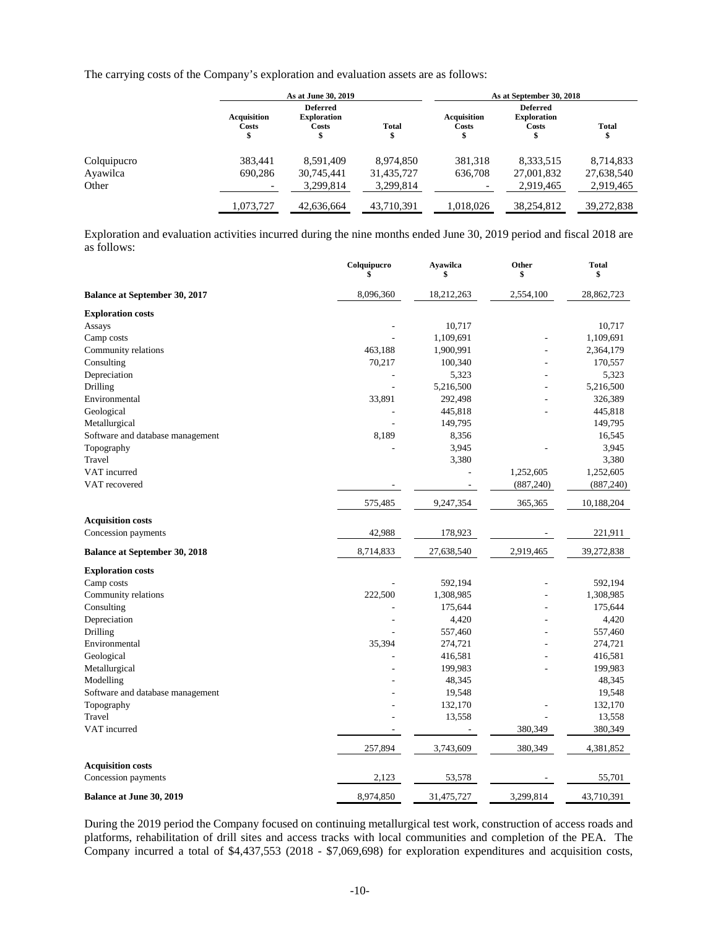The carrying costs of the Company's exploration and evaluation assets are as follows:

|             |                                  | As at June 30, 2019                            |              | As at September 30, 2018    |                                                |                    |  |
|-------------|----------------------------------|------------------------------------------------|--------------|-----------------------------|------------------------------------------------|--------------------|--|
|             | <b>Acquisition</b><br>Costs<br>ъ | <b>Deferred</b><br><b>Exploration</b><br>Costs | <b>Total</b> | <b>Acquisition</b><br>Costs | <b>Deferred</b><br><b>Exploration</b><br>Costs | <b>Total</b><br>\$ |  |
| Colquipucro | 383.441                          | 8.591.409                                      | 8.974.850    | 381,318                     | 8,333,515                                      | 8,714,833          |  |
| Ayawilca    | 690.286                          | 30,745,441                                     | 31,435,727   | 636,708                     | 27,001,832                                     | 27,638,540         |  |
| Other       |                                  | 3,299,814                                      | 3,299,814    | $\overline{\phantom{a}}$    | 2,919,465                                      | 2,919,465          |  |
|             | 1.073.727                        | 42,636,664                                     | 43,710,391   | 1.018.026                   | 38.254.812                                     | 39.272.838         |  |

Exploration and evaluation activities incurred during the nine months ended June 30, 2019 period and fiscal 2018 are as follows:

|                                      | Colquipucro<br>\$ | Ayawilca<br>\$ | Other<br>\$ | Total<br>\$ |
|--------------------------------------|-------------------|----------------|-------------|-------------|
| <b>Balance at September 30, 2017</b> | 8,096,360         | 18,212,263     | 2,554,100   | 28,862,723  |
| <b>Exploration costs</b>             |                   |                |             |             |
| Assays                               |                   | 10,717         |             | 10,717      |
| Camp costs                           |                   | 1,109,691      |             | 1,109,691   |
| Community relations                  | 463,188           | 1,900,991      |             | 2,364,179   |
| Consulting                           | 70,217            | 100,340        |             | 170,557     |
| Depreciation                         |                   | 5,323          |             | 5,323       |
| Drilling                             |                   | 5,216,500      |             | 5,216,500   |
| Environmental                        | 33,891            | 292,498        |             | 326,389     |
| Geological                           |                   | 445,818        |             | 445,818     |
| Metallurgical                        |                   | 149,795        |             | 149,795     |
| Software and database management     | 8,189             | 8,356          |             | 16,545      |
| Topography                           |                   | 3,945          |             | 3,945       |
| Travel                               |                   | 3,380          |             | 3,380       |
| VAT incurred                         |                   |                | 1,252,605   | 1,252,605   |
| VAT recovered                        |                   |                | (887, 240)  | (887, 240)  |
|                                      | 575,485           | 9,247,354      | 365,365     | 10,188,204  |
| <b>Acquisition costs</b>             |                   |                |             |             |
| Concession payments                  | 42,988            | 178,923        |             | 221,911     |
| <b>Balance at September 30, 2018</b> | 8,714,833         | 27,638,540     | 2,919,465   | 39,272,838  |
| <b>Exploration costs</b>             |                   |                |             |             |
| Camp costs                           |                   | 592,194        |             | 592,194     |
| Community relations                  | 222,500           | 1,308,985      |             | 1,308,985   |
| Consulting                           |                   | 175,644        |             | 175,644     |
| Depreciation                         |                   | 4,420          |             | 4,420       |
| Drilling                             |                   | 557,460        |             | 557,460     |
| Environmental                        | 35,394            | 274,721        |             | 274,721     |
| Geological                           |                   | 416,581        |             | 416,581     |
| Metallurgical                        |                   | 199,983        |             | 199,983     |
| Modelling                            |                   | 48,345         |             | 48,345      |
| Software and database management     |                   | 19,548         |             | 19,548      |
| Topography                           |                   | 132,170        |             | 132,170     |
| Travel                               |                   | 13,558         |             | 13,558      |
| VAT incurred                         |                   |                | 380,349     | 380,349     |
|                                      | 257,894           | 3,743,609      | 380,349     | 4,381,852   |
| <b>Acquisition costs</b>             |                   |                |             |             |
| Concession payments                  | 2,123             | 53,578         |             | 55,701      |
| Balance at June 30, 2019             | 8,974,850         | 31,475,727     | 3,299,814   | 43,710,391  |

During the 2019 period the Company focused on continuing metallurgical test work, construction of access roads and platforms, rehabilitation of drill sites and access tracks with local communities and completion of the PEA. The Company incurred a total of \$4,437,553 (2018 - \$7,069,698) for exploration expenditures and acquisition costs,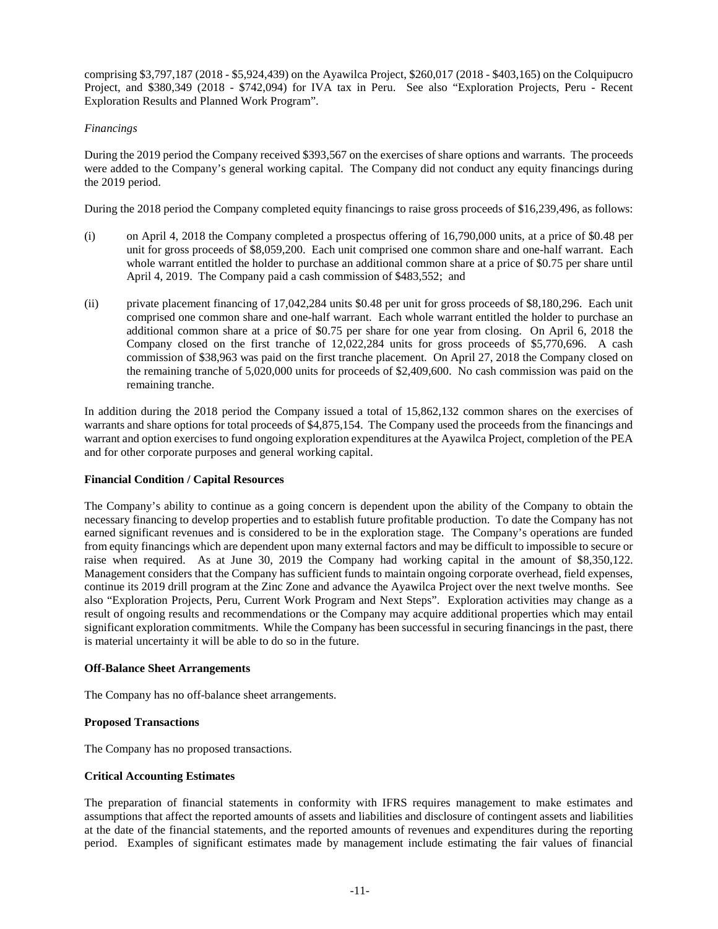comprising \$3,797,187 (2018 - \$5,924,439) on the Ayawilca Project, \$260,017 (2018 - \$403,165) on the Colquipucro Project, and \$380,349 (2018 - \$742,094) for IVA tax in Peru. See also "Exploration Projects, Peru - Recent Exploration Results and Planned Work Program".

# *Financings*

During the 2019 period the Company received \$393,567 on the exercises of share options and warrants. The proceeds were added to the Company's general working capital. The Company did not conduct any equity financings during the 2019 period.

During the 2018 period the Company completed equity financings to raise gross proceeds of \$16,239,496, as follows:

- (i) on April 4, 2018 the Company completed a prospectus offering of 16,790,000 units, at a price of \$0.48 per unit for gross proceeds of \$8,059,200. Each unit comprised one common share and one-half warrant. Each whole warrant entitled the holder to purchase an additional common share at a price of \$0.75 per share until April 4, 2019. The Company paid a cash commission of \$483,552; and
- (ii) private placement financing of 17,042,284 units \$0.48 per unit for gross proceeds of \$8,180,296. Each unit comprised one common share and one-half warrant. Each whole warrant entitled the holder to purchase an additional common share at a price of \$0.75 per share for one year from closing. On April 6, 2018 the Company closed on the first tranche of 12,022,284 units for gross proceeds of \$5,770,696. A cash commission of \$38,963 was paid on the first tranche placement. On April 27, 2018 the Company closed on the remaining tranche of 5,020,000 units for proceeds of \$2,409,600. No cash commission was paid on the remaining tranche.

In addition during the 2018 period the Company issued a total of 15,862,132 common shares on the exercises of warrants and share options for total proceeds of \$4,875,154. The Company used the proceeds from the financings and warrant and option exercises to fund ongoing exploration expenditures at the Ayawilca Project, completion of the PEA and for other corporate purposes and general working capital.

# **Financial Condition / Capital Resources**

The Company's ability to continue as a going concern is dependent upon the ability of the Company to obtain the necessary financing to develop properties and to establish future profitable production. To date the Company has not earned significant revenues and is considered to be in the exploration stage. The Company's operations are funded from equity financings which are dependent upon many external factors and may be difficult to impossible to secure or raise when required. As at June 30, 2019 the Company had working capital in the amount of \$8,350,122. Management considers that the Company has sufficient funds to maintain ongoing corporate overhead, field expenses, continue its 2019 drill program at the Zinc Zone and advance the Ayawilca Project over the next twelve months. See also "Exploration Projects, Peru, Current Work Program and Next Steps". Exploration activities may change as a result of ongoing results and recommendations or the Company may acquire additional properties which may entail significant exploration commitments. While the Company has been successful in securing financings in the past, there is material uncertainty it will be able to do so in the future.

#### **Off-Balance Sheet Arrangements**

The Company has no off-balance sheet arrangements.

# **Proposed Transactions**

The Company has no proposed transactions.

# **Critical Accounting Estimates**

The preparation of financial statements in conformity with IFRS requires management to make estimates and assumptions that affect the reported amounts of assets and liabilities and disclosure of contingent assets and liabilities at the date of the financial statements, and the reported amounts of revenues and expenditures during the reporting period. Examples of significant estimates made by management include estimating the fair values of financial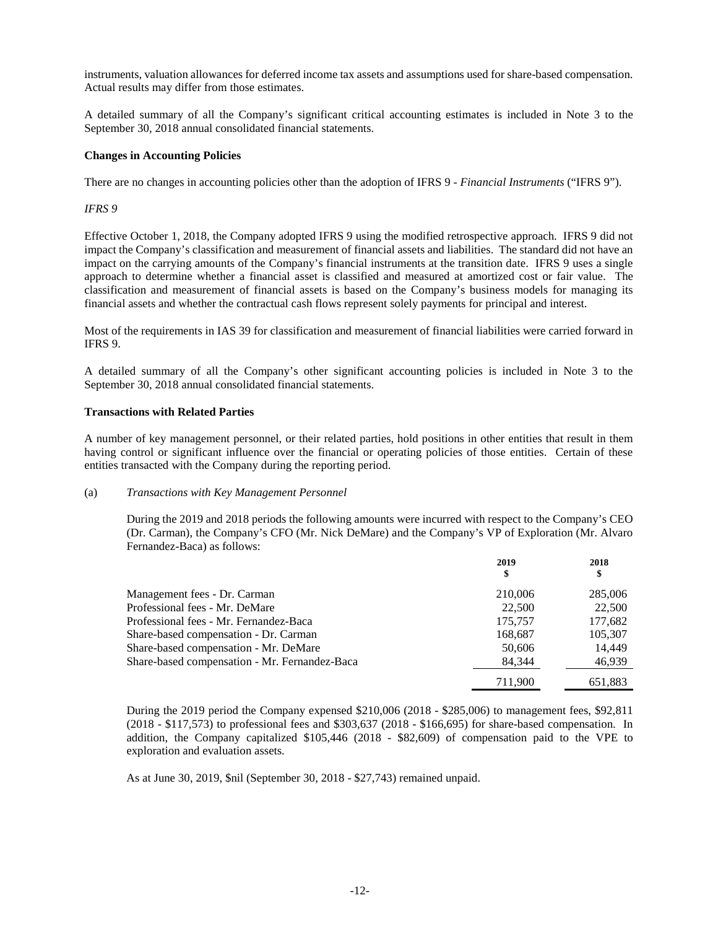instruments, valuation allowances for deferred income tax assets and assumptions used for share-based compensation. Actual results may differ from those estimates.

A detailed summary of all the Company's significant critical accounting estimates is included in Note 3 to the September 30, 2018 annual consolidated financial statements.

# **Changes in Accounting Policies**

There are no changes in accounting policies other than the adoption of IFRS 9 - *Financial Instruments* ("IFRS 9").

#### *IFRS 9*

Effective October 1, 2018, the Company adopted IFRS 9 using the modified retrospective approach. IFRS 9 did not impact the Company's classification and measurement of financial assets and liabilities. The standard did not have an impact on the carrying amounts of the Company's financial instruments at the transition date. IFRS 9 uses a single approach to determine whether a financial asset is classified and measured at amortized cost or fair value. The classification and measurement of financial assets is based on the Company's business models for managing its financial assets and whether the contractual cash flows represent solely payments for principal and interest.

Most of the requirements in IAS 39 for classification and measurement of financial liabilities were carried forward in IFRS 9.

A detailed summary of all the Company's other significant accounting policies is included in Note 3 to the September 30, 2018 annual consolidated financial statements.

#### **Transactions with Related Parties**

A number of key management personnel, or their related parties, hold positions in other entities that result in them having control or significant influence over the financial or operating policies of those entities. Certain of these entities transacted with the Company during the reporting period.

#### (a) *Transactions with Key Management Personnel*

During the 2019 and 2018 periods the following amounts were incurred with respect to the Company's CEO (Dr. Carman), the Company's CFO (Mr. Nick DeMare) and the Company's VP of Exploration (Mr. Alvaro Fernandez-Baca) as follows:

|                                               | 2019<br>\$ | 2018<br>\$ |
|-----------------------------------------------|------------|------------|
| Management fees - Dr. Carman                  | 210,006    | 285,006    |
| Professional fees - Mr. DeMare                | 22,500     | 22,500     |
| Professional fees - Mr. Fernandez-Baca        | 175,757    | 177,682    |
| Share-based compensation - Dr. Carman         | 168,687    | 105,307    |
| Share-based compensation - Mr. DeMare         | 50,606     | 14.449     |
| Share-based compensation - Mr. Fernandez-Baca | 84.344     | 46,939     |
|                                               | 711.900    | 651,883    |

During the 2019 period the Company expensed \$210,006 (2018 - \$285,006) to management fees, \$92,811 (2018 - \$117,573) to professional fees and \$303,637 (2018 - \$166,695) for share-based compensation. In addition, the Company capitalized \$105,446 (2018 - \$82,609) of compensation paid to the VPE to exploration and evaluation assets.

As at June 30, 2019, \$nil (September 30, 2018 - \$27,743) remained unpaid.